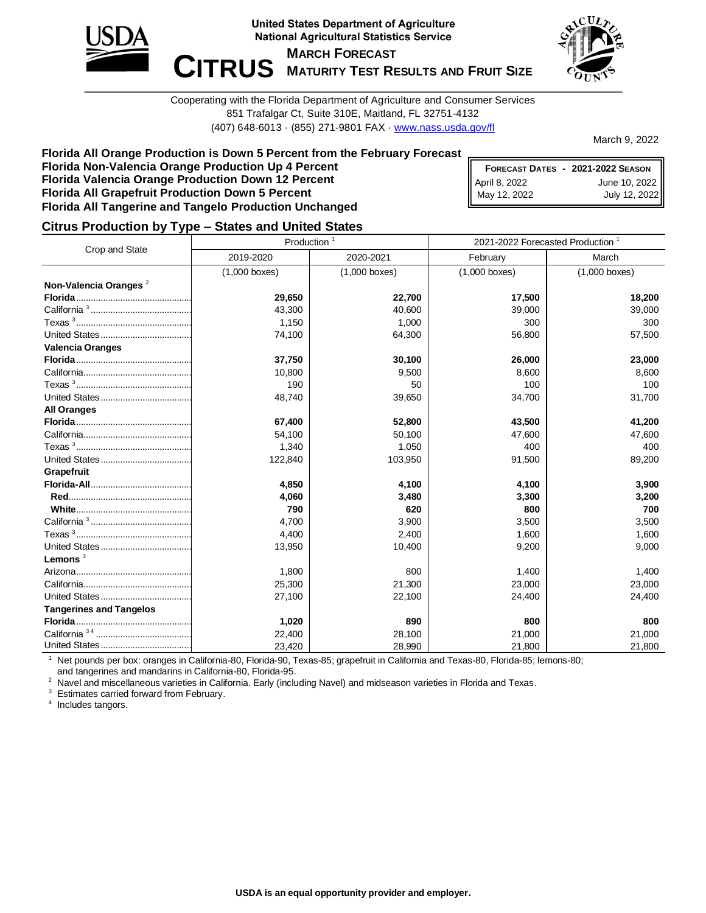



Cooperating with the Florida Department of Agriculture and Consumer Services 851 Trafalgar Ct, Suite 310E, Maitland, FL 32751-4132 (407) 648-6013 · (855) 271-9801 FAX · [www.nass.usda.gov/fl](http://www.nass.usda.gov/fl)

March 9, 2022

#### **Florida All Orange Production is Down 5 Percent from the February Forecast Florida Non-Valencia Orange Production Up 4 Percent Florida Valencia Orange Production Down 12 Percent Florida All Grapefruit Production Down 5 Percent Florida All Tangerine and Tangelo Production Unchanged**

|               | FORECAST DATES - 2021-2022 SEASON |
|---------------|-----------------------------------|
| April 8, 2022 | June 10, 2022                     |
| May 12, 2022  | July 12, 2022                     |

#### **Citrus Production by Type – States and United States**

|                                   | Production      |                 | 2021-2022 Forecasted Production <sup>1</sup> |                 |  |  |
|-----------------------------------|-----------------|-----------------|----------------------------------------------|-----------------|--|--|
| Crop and State                    | 2019-2020       | 2020-2021       | February                                     | March           |  |  |
|                                   | $(1,000$ boxes) | $(1,000$ boxes) | $(1,000$ boxes)                              | $(1,000$ boxes) |  |  |
| Non-Valencia Oranges <sup>2</sup> |                 |                 |                                              |                 |  |  |
|                                   | 29,650          | 22,700          | 17,500                                       | 18,200          |  |  |
|                                   | 43,300          | 40,600          | 39,000                                       | 39,000          |  |  |
|                                   | 1,150           | 1,000           | 300                                          | 300             |  |  |
|                                   | 74,100          | 64,300          | 56,800                                       | 57,500          |  |  |
| <b>Valencia Oranges</b>           |                 |                 |                                              |                 |  |  |
|                                   | 37,750          | 30,100          | 26,000                                       | 23,000          |  |  |
|                                   | 10,800          | 9,500           | 8,600                                        | 8,600           |  |  |
|                                   | 190             | 50              | 100                                          | 100             |  |  |
|                                   | 48,740          | 39,650          | 34,700                                       | 31,700          |  |  |
| <b>All Oranges</b>                |                 |                 |                                              |                 |  |  |
|                                   | 67,400          | 52,800          | 43,500                                       | 41,200          |  |  |
|                                   | 54,100          | 50,100          | 47,600                                       | 47,600          |  |  |
|                                   | 1,340           | 1,050           | 400                                          | 400             |  |  |
|                                   | 122,840         | 103,950         | 91,500                                       | 89,200          |  |  |
| Grapefruit                        |                 |                 |                                              |                 |  |  |
|                                   | 4,850           | 4,100           | 4,100                                        | 3,900           |  |  |
|                                   | 4,060           | 3,480           | 3,300                                        | 3,200           |  |  |
|                                   | 790             | 620             | 800                                          | 700             |  |  |
|                                   | 4,700           | 3,900           | 3,500                                        | 3,500           |  |  |
|                                   | 4,400           | 2,400           | 1,600                                        | 1,600           |  |  |
|                                   | 13,950          | 10,400          | 9,200                                        | 9,000           |  |  |
| Lemons $3$                        |                 |                 |                                              |                 |  |  |
|                                   | 1,800           | 800             | 1,400                                        | 1,400           |  |  |
|                                   | 25,300          | 21,300          | 23,000                                       | 23,000          |  |  |
|                                   | 27,100          | 22,100          | 24,400                                       | 24,400          |  |  |
| <b>Tangerines and Tangelos</b>    |                 |                 |                                              |                 |  |  |
|                                   | 1,020           | 890             | 800                                          | 800             |  |  |
|                                   | 22,400          | 28,100          | 21,000                                       | 21,000          |  |  |
|                                   | 23,420          | 28,990          | 21,800                                       | 21,800          |  |  |

<sup>1</sup> Net pounds per box: oranges in California-80, Florida-90, Texas-85; grapefruit in California and Texas-80, Florida-85; lemons-80; and tangerines and mandarins in California-80, Florida-95.

<sup>2</sup> Navel and miscellaneous varieties in California. Early (including Navel) and midseason varieties in Florida and Texas.

<sup>3</sup> Estimates carried forward from February.

<sup>4</sup> Includes tangors.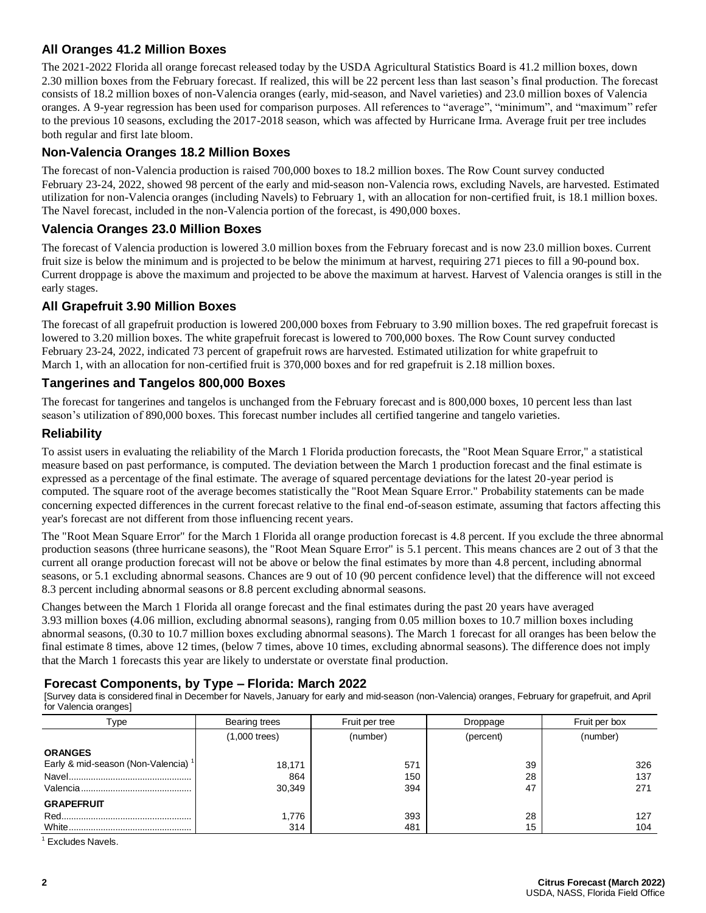# **All Oranges 41.2 Million Boxes**

The 2021-2022 Florida all orange forecast released today by the USDA Agricultural Statistics Board is 41.2 million boxes, down 2.30 million boxes from the February forecast. If realized, this will be 22 percent less than last season's final production. The forecast consists of 18.2 million boxes of non-Valencia oranges (early, mid-season, and Navel varieties) and 23.0 million boxes of Valencia oranges. A 9-year regression has been used for comparison purposes. All references to "average", "minimum", and "maximum" refer to the previous 10 seasons, excluding the 2017-2018 season, which was affected by Hurricane Irma. Average fruit per tree includes both regular and first late bloom.

## **Non-Valencia Oranges 18.2 Million Boxes**

The forecast of non-Valencia production is raised 700,000 boxes to 18.2 million boxes. The Row Count survey conducted February 23-24, 2022, showed 98 percent of the early and mid-season non-Valencia rows, excluding Navels, are harvested. Estimated utilization for non-Valencia oranges (including Navels) to February 1, with an allocation for non-certified fruit, is 18.1 million boxes. The Navel forecast, included in the non-Valencia portion of the forecast, is 490,000 boxes.

### **Valencia Oranges 23.0 Million Boxes**

The forecast of Valencia production is lowered 3.0 million boxes from the February forecast and is now 23.0 million boxes. Current fruit size is below the minimum and is projected to be below the minimum at harvest, requiring 271 pieces to fill a 90-pound box. Current droppage is above the maximum and projected to be above the maximum at harvest. Harvest of Valencia oranges is still in the early stages.

### **All Grapefruit 3.90 Million Boxes**

The forecast of all grapefruit production is lowered 200,000 boxes from February to 3.90 million boxes. The red grapefruit forecast is lowered to 3.20 million boxes. The white grapefruit forecast is lowered to 700,000 boxes. The Row Count survey conducted February 23-24, 2022, indicated 73 percent of grapefruit rows are harvested. Estimated utilization for white grapefruit to March 1, with an allocation for non-certified fruit is 370,000 boxes and for red grapefruit is 2.18 million boxes.

### **Tangerines and Tangelos 800,000 Boxes**

The forecast for tangerines and tangelos is unchanged from the February forecast and is 800,000 boxes, 10 percent less than last season's utilization of 890,000 boxes. This forecast number includes all certified tangerine and tangelo varieties.

### **Reliability**

To assist users in evaluating the reliability of the March 1 Florida production forecasts, the "Root Mean Square Error," a statistical measure based on past performance, is computed. The deviation between the March 1 production forecast and the final estimate is expressed as a percentage of the final estimate. The average of squared percentage deviations for the latest 20-year period is computed. The square root of the average becomes statistically the "Root Mean Square Error." Probability statements can be made concerning expected differences in the current forecast relative to the final end-of-season estimate, assuming that factors affecting this year's forecast are not different from those influencing recent years.

The "Root Mean Square Error" for the March 1 Florida all orange production forecast is 4.8 percent. If you exclude the three abnormal production seasons (three hurricane seasons), the "Root Mean Square Error" is 5.1 percent. This means chances are 2 out of 3 that the current all orange production forecast will not be above or below the final estimates by more than 4.8 percent, including abnormal seasons, or 5.1 excluding abnormal seasons. Chances are 9 out of 10 (90 percent confidence level) that the difference will not exceed 8.3 percent including abnormal seasons or 8.8 percent excluding abnormal seasons.

Changes between the March 1 Florida all orange forecast and the final estimates during the past 20 years have averaged 3.93 million boxes (4.06 million, excluding abnormal seasons), ranging from 0.05 million boxes to 10.7 million boxes including abnormal seasons, (0.30 to 10.7 million boxes excluding abnormal seasons). The March 1 forecast for all oranges has been below the final estimate 8 times, above 12 times, (below 7 times, above 10 times, excluding abnormal seasons). The difference does not imply that the March 1 forecasts this year are likely to understate or overstate final production.

#### **Forecast Components, by Type – Florida: March 2022**

[Survey data is considered final in December for Navels, January for early and mid-season (non-Valencia) oranges, February for grapefruit, and April for Valencia oranges]

| Type                                           | Bearing trees   | Fruit per tree | Droppage | Fruit per box |  |  |
|------------------------------------------------|-----------------|----------------|----------|---------------|--|--|
|                                                | $(1,000$ trees) | (number)       |          | (number)      |  |  |
| <b>ORANGES</b>                                 |                 |                |          |               |  |  |
| Early & mid-season (Non-Valencia) <sup>1</sup> | 18,171          | 571            | 39       | 326           |  |  |
|                                                | 864             | 150            | 28       | 137           |  |  |
|                                                | 30,349          | 394            | 47       | 271           |  |  |
| <b>GRAPEFRUIT</b>                              |                 |                |          |               |  |  |
|                                                | 1,776           | 393            | 28       | 127           |  |  |
| White.                                         | 314             | 481            | 15       | 104           |  |  |

<sup>1</sup> Excludes Navels.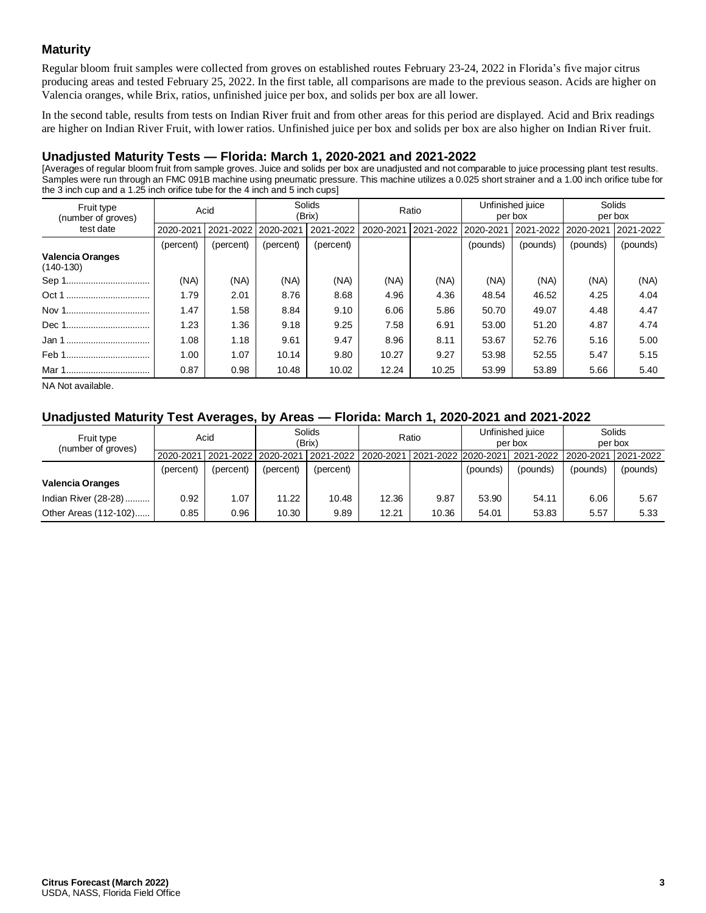## **Maturity**

Regular bloom fruit samples were collected from groves on established routes February 23-24, 2022 in Florida's five major citrus producing areas and tested February 25, 2022. In the first table, all comparisons are made to the previous season. Acids are higher on Valencia oranges, while Brix, ratios, unfinished juice per box, and solids per box are all lower.

In the second table, results from tests on Indian River fruit and from other areas for this period are displayed. Acid and Brix readings are higher on Indian River Fruit, with lower ratios. Unfinished juice per box and solids per box are also higher on Indian River fruit.

## **Unadjusted Maturity Tests — Florida: March 1, 2020-2021 and 2021-2022**

[Averages of regular bloom fruit from sample groves. Juice and solids per box are unadjusted and not comparable to juice processing plant test results. Samples were run through an FMC 091B machine using pneumatic pressure. This machine utilizes a 0.025 short strainer and a 1.00 inch orifice tube for the 3 inch cup and a 1.25 inch orifice tube for the 4 inch and 5 inch cups]

| Fruit type<br>(number of groves)       | Acid      |           | Solids<br>(Brix) |           | Ratio     |           | Unfinished juice<br>per box |           | Solids<br>per box |           |
|----------------------------------------|-----------|-----------|------------------|-----------|-----------|-----------|-----------------------------|-----------|-------------------|-----------|
| test date                              | 2020-2021 | 2021-2022 | 2020-2021        | 2021-2022 | 2020-2021 | 2021-2022 | 2020-2021                   | 2021-2022 | 2020-2021         | 2021-2022 |
|                                        | (percent) | (percent) | (percent)        | (percent) |           |           | (pounds)                    | (pounds)  | (pounds)          | (pounds)  |
| <b>Valencia Oranges</b><br>$(140-130)$ |           |           |                  |           |           |           |                             |           |                   |           |
|                                        | (NA)      | (NA)      | (NA)             | (NA)      | (NA)      | (NA)      | (NA)                        | (NA)      | (NA)              | (NA)      |
| Oct 1<br>                              | 1.79      | 2.01      | 8.76             | 8.68      | 4.96      | 4.36      | 48.54                       | 46.52     | 4.25              | 4.04      |
|                                        | 1.47      | 1.58      | 8.84             | 9.10      | 6.06      | 5.86      | 50.70                       | 49.07     | 4.48              | 4.47      |
|                                        | 1.23      | 1.36      | 9.18             | 9.25      | 7.58      | 6.91      | 53.00                       | 51.20     | 4.87              | 4.74      |
| Jan 1                                  | 1.08      | 1.18      | 9.61             | 9.47      | 8.96      | 8.11      | 53.67                       | 52.76     | 5.16              | 5.00      |
|                                        | 1.00      | 1.07      | 10.14            | 9.80      | 10.27     | 9.27      | 53.98                       | 52.55     | 5.47              | 5.15      |
| Mar 1                                  | 0.87      | 0.98      | 10.48            | 10.02     | 12.24     | 10.25     | 53.99                       | 53.89     | 5.66              | 5.40      |

NA Not available.

### **Unadjusted Maturity Test Averages, by Areas — Florida: March 1, 2020-2021 and 2021-2022**

| Fruit type<br>(number of groves) |           | Solids<br>Acid<br>(Brix)          |           | Ratio                 |       | Unfinished juice<br>per box |          | Solids<br>per box   |          |           |
|----------------------------------|-----------|-----------------------------------|-----------|-----------------------|-------|-----------------------------|----------|---------------------|----------|-----------|
|                                  |           | 2020-2021   2021-2022   2020-2021 |           | 2021-2022   2020-2021 |       | 2021-2022 2020-2021         |          | 2021-2022 2020-2021 |          | 2021-2022 |
|                                  | (percent) | (percent)                         | (percent) | (percent)             |       |                             | (pounds) | (pounds)            | (pounds) | (pounds)  |
| <b>Valencia Oranges</b>          |           |                                   |           |                       |       |                             |          |                     |          |           |
| Indian River (28-28)             | 0.92      | 1.07                              | 11.22     | 10.48                 | 12.36 | 9.87                        | 53.90    | 54.11               | 6.06     | 5.67      |
| Other Areas (112-102)            | 0.85      | 0.96                              | 10.30     | 9.89                  | 12.21 | 10.36                       | 54.01    | 53.83               | 5.57     | 5.33      |